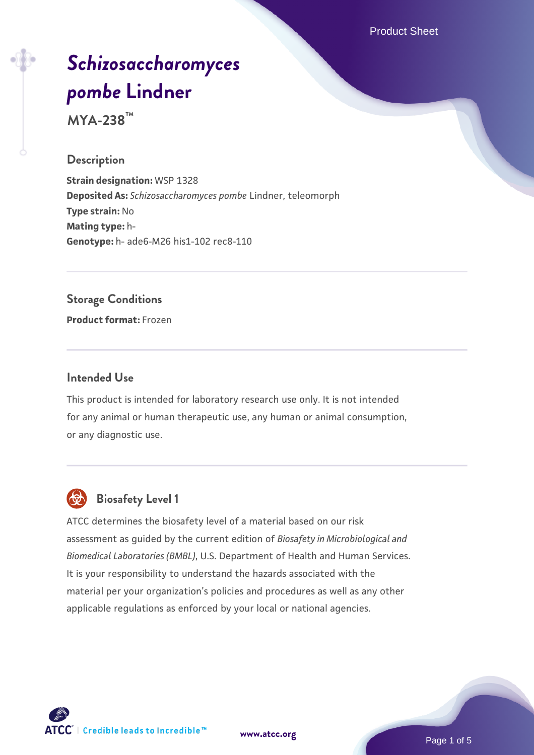Product Sheet

# *[Schizosaccharomyces](https://www.atcc.org/products/mya-238) [pombe](https://www.atcc.org/products/mya-238)* **[Lindner](https://www.atcc.org/products/mya-238)**

**MYA-238™**

#### **Description**

**Strain designation:** WSP 1328 **Deposited As:** *Schizosaccharomyces pombe* Lindner, teleomorph **Type strain:** No **Mating type:** h-**Genotype:** h- ade6-M26 his1-102 rec8-110

**Storage Conditions Product format:** Frozen

#### **Intended Use**

This product is intended for laboratory research use only. It is not intended for any animal or human therapeutic use, any human or animal consumption, or any diagnostic use.



# **Biosafety Level 1**

ATCC determines the biosafety level of a material based on our risk assessment as guided by the current edition of *Biosafety in Microbiological and Biomedical Laboratories (BMBL)*, U.S. Department of Health and Human Services. It is your responsibility to understand the hazards associated with the material per your organization's policies and procedures as well as any other applicable regulations as enforced by your local or national agencies.



**[www.atcc.org](http://www.atcc.org)**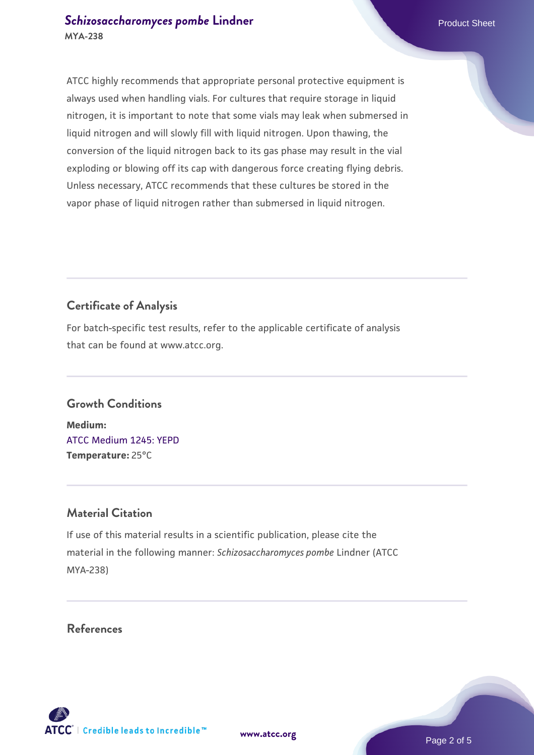### **[Schizosaccharomyces pombe](https://www.atcc.org/products/mya-238)** [Lindner](https://www.atcc.org/products/mya-238) **Product Sheet** Product Sheet **MYA-238**

ATCC highly recommends that appropriate personal protective equipment is always used when handling vials. For cultures that require storage in liquid nitrogen, it is important to note that some vials may leak when submersed in liquid nitrogen and will slowly fill with liquid nitrogen. Upon thawing, the conversion of the liquid nitrogen back to its gas phase may result in the vial exploding or blowing off its cap with dangerous force creating flying debris. Unless necessary, ATCC recommends that these cultures be stored in the vapor phase of liquid nitrogen rather than submersed in liquid nitrogen.

# **Certificate of Analysis**

For batch-specific test results, refer to the applicable certificate of analysis that can be found at www.atcc.org.

# **Growth Conditions**

**Medium:**  [ATCC Medium 1245: YEPD](https://www.atcc.org/-/media/product-assets/documents/microbial-media-formulations/1/2/4/5/atcc-medium-1245.pdf?rev=705ca55d1b6f490a808a965d5c072196) **Temperature:** 25°C

# **Material Citation**

If use of this material results in a scientific publication, please cite the material in the following manner: *Schizosaccharomyces pombe* Lindner (ATCC MYA-238)

#### **References**

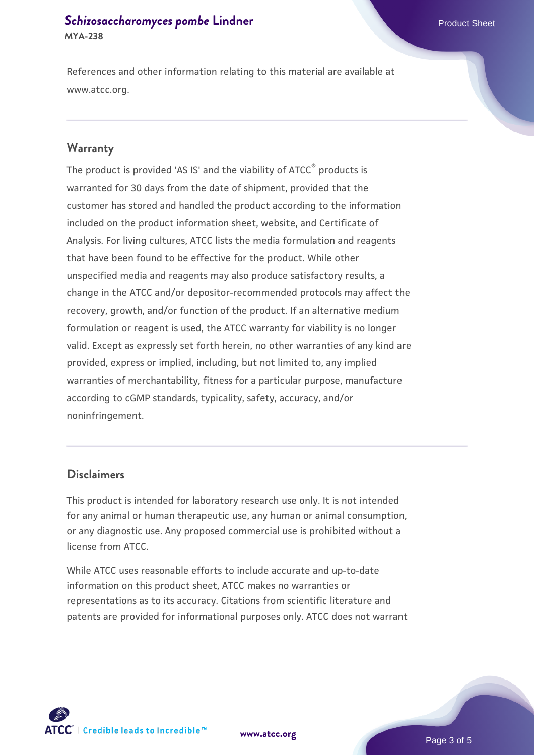#### **[Schizosaccharomyces pombe](https://www.atcc.org/products/mya-238)** [Lindner](https://www.atcc.org/products/mya-238) **Product Sheet** Product Sheet **MYA-238**

References and other information relating to this material are available at www.atcc.org.

#### **Warranty**

The product is provided 'AS IS' and the viability of ATCC® products is warranted for 30 days from the date of shipment, provided that the customer has stored and handled the product according to the information included on the product information sheet, website, and Certificate of Analysis. For living cultures, ATCC lists the media formulation and reagents that have been found to be effective for the product. While other unspecified media and reagents may also produce satisfactory results, a change in the ATCC and/or depositor-recommended protocols may affect the recovery, growth, and/or function of the product. If an alternative medium formulation or reagent is used, the ATCC warranty for viability is no longer valid. Except as expressly set forth herein, no other warranties of any kind are provided, express or implied, including, but not limited to, any implied warranties of merchantability, fitness for a particular purpose, manufacture according to cGMP standards, typicality, safety, accuracy, and/or noninfringement.

#### **Disclaimers**

This product is intended for laboratory research use only. It is not intended for any animal or human therapeutic use, any human or animal consumption, or any diagnostic use. Any proposed commercial use is prohibited without a license from ATCC.

While ATCC uses reasonable efforts to include accurate and up-to-date information on this product sheet, ATCC makes no warranties or representations as to its accuracy. Citations from scientific literature and patents are provided for informational purposes only. ATCC does not warrant



Page 3 of 5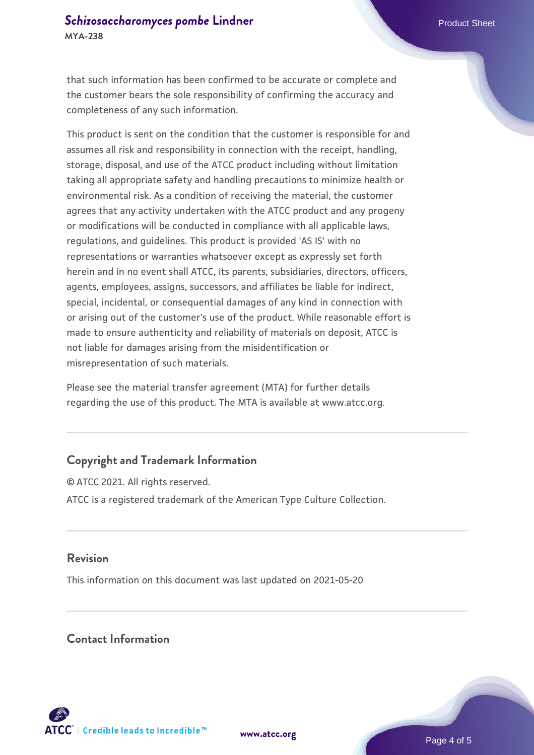that such information has been confirmed to be accurate or complete and the customer bears the sole responsibility of confirming the accuracy and completeness of any such information.

This product is sent on the condition that the customer is responsible for and assumes all risk and responsibility in connection with the receipt, handling, storage, disposal, and use of the ATCC product including without limitation taking all appropriate safety and handling precautions to minimize health or environmental risk. As a condition of receiving the material, the customer agrees that any activity undertaken with the ATCC product and any progeny or modifications will be conducted in compliance with all applicable laws, regulations, and guidelines. This product is provided 'AS IS' with no representations or warranties whatsoever except as expressly set forth herein and in no event shall ATCC, its parents, subsidiaries, directors, officers, agents, employees, assigns, successors, and affiliates be liable for indirect, special, incidental, or consequential damages of any kind in connection with or arising out of the customer's use of the product. While reasonable effort is made to ensure authenticity and reliability of materials on deposit, ATCC is not liable for damages arising from the misidentification or misrepresentation of such materials.

Please see the material transfer agreement (MTA) for further details regarding the use of this product. The MTA is available at www.atcc.org.

# **Copyright and Trademark Information**

© ATCC 2021. All rights reserved. ATCC is a registered trademark of the American Type Culture Collection.

# **Revision**

This information on this document was last updated on 2021-05-20

#### **Contact Information**